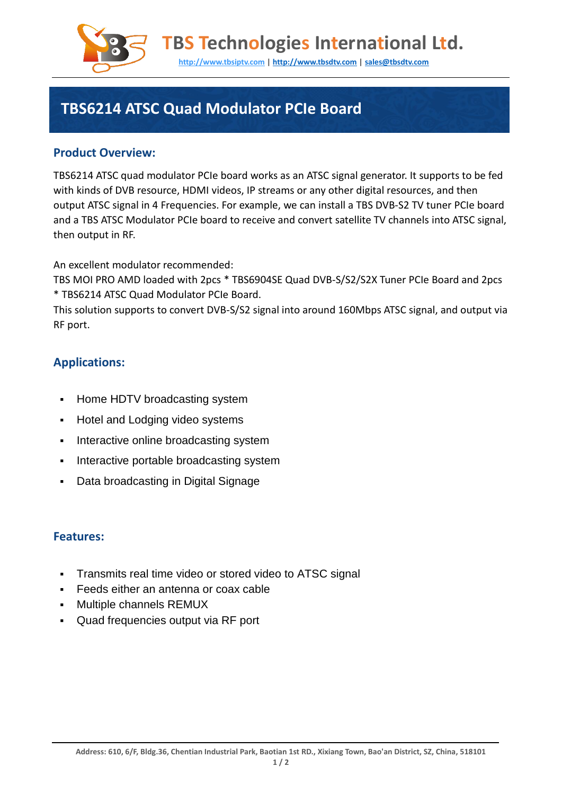

**TBS Technologies International Ltd.** 

**http://www.tbsiptv.com | http://www.tbsdtv.com | sales@tbsdtv.com**

# **TBS6214 ATSC Quad Modulator PCIe Board**

### **Product Overview:**

TBS6214 ATSC quad modulator PCIe board works as an ATSC signal generator. It supports to be fed with kinds of DVB resource, HDMI videos, IP streams or any other digital resources, and then output ATSC signal in 4 Frequencies. For example, we can install a TBS DVB-S2 TV tuner PCIe board and a TBS ATSC Modulator PCIe board to receive and convert satellite TV channels into ATSC signal, then output in RF.

An excellent modulator recommended:

TBS MOI PRO AMD loaded with 2pcs \* TBS6904SE Quad DVB-S/S2/S2X Tuner PCIe Board and 2pcs \* TBS6214 ATSC Quad Modulator PCIe Board.

This solution supports to convert DVB-S/S2 signal into around 160Mbps ATSC signal, and output via RF port.

### **Applications:**

- **Home HDTV broadcasting system**
- **-** Hotel and Lodging video systems
- **Interactive online broadcasting system**
- **Interactive portable broadcasting system**
- Data broadcasting in Digital Signage

#### **Features:**

- Transmits real time video or stored video to ATSC signal
- Feeds either an antenna or coax cable
- **Multiple channels REMUX**
- Quad frequencies output via RF port